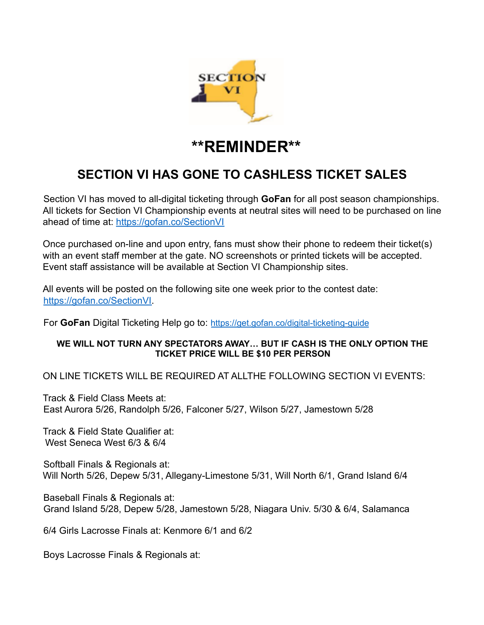

## **\*\*REMINDER\*\***

## **SECTION VI HAS GONE TO CASHLESS TICKET SALES**

Section VI has moved to all-digital ticketing through **GoFan** for all post season championships. All tickets for Section VI Championship events at neutral sites will need to be purchased on line ahead of time at: https://gofan.co/SectionVI

Once purchased on-line and upon entry, fans must show their phone to redeem their ticket(s) with an event staff member at the gate. NO screenshots or printed tickets will be accepted. Event staff assistance will be available at Section VI Championship sites.

All events will be posted on the following site one week prior to the contest date: https://gofan.co/SectionVI.

For **GoFan** Digital Ticketing Help go to: https://get.gofan.co/digital-ticketing-guide

## **WE WILL NOT TURN ANY SPECTATORS AWAY… BUT IF CASH IS THE ONLY OPTION THE TICKET PRICE WILL BE \$10 PER PERSON**

ON LINE TICKETS WILL BE REQUIRED AT ALLTHE FOLLOWING SECTION VI EVENTS:

Track & Field Class Meets at: East Aurora 5/26, Randolph 5/26, Falconer 5/27, Wilson 5/27, Jamestown 5/28

Track & Field State Qualifier at: West Seneca West 6/3 & 6/4

Softball Finals & Regionals at: Will North 5/26, Depew 5/31, Allegany-Limestone 5/31, Will North 6/1, Grand Island 6/4

Baseball Finals & Regionals at: Grand Island 5/28, Depew 5/28, Jamestown 5/28, Niagara Univ. 5/30 & 6/4, Salamanca

6/4 Girls Lacrosse Finals at: Kenmore 6/1 and 6/2

Boys Lacrosse Finals & Regionals at: